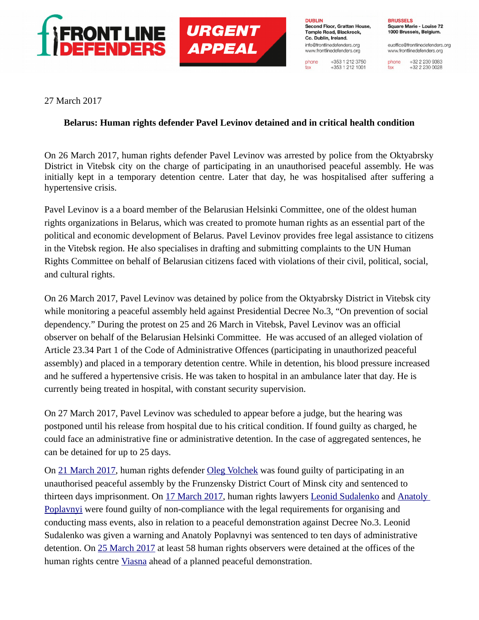

**URGENT APPEAL** 

**DUBLIN** Second Floor, Grattan House, Temple Road, Blackrock. Co. Dublin, Ireland. info@frontlinedefenders.org www.frontlinedefenders.org

+353 1 212 3750 phone  $+353$  1 212 1001

fax

**BRUSSELS** Square Marie - Louise 72 1000 Brussels, Belgium.

euoffice@frontlinedefenders.org www.frontlinedefenders.org

+32 2 230 9383 phone +32 2 230 0028 fax

27 March 2017

## **Belarus: Human rights defender Pavel Levinov detained and in critical health condition**

On 26 March 2017, human rights defender Pavel Levinov was arrested by police from the Oktyabrsky District in Vitebsk city on the charge of participating in an unauthorised peaceful assembly. He was initially kept in a temporary detention centre. Later that day, he was hospitalised after suffering a hypertensive crisis.

Pavel Levinov is a a board member of the Belarusian Helsinki Committee, one of the oldest human rights organizations in Belarus, which was created to promote human rights as an essential part of the political and economic development of Belarus. Pavel Levinov provides free legal assistance to citizens in the Vitebsk region. He also specialises in drafting and submitting complaints to the UN Human Rights Committee on behalf of Belarusian citizens faced with violations of their civil, political, social, and cultural rights.

On 26 March 2017, Pavel Levinov was detained by police from the Oktyabrsky District in Vitebsk city while monitoring a peaceful assembly held against Presidential Decree No.3, "On prevention of social dependency." During the protest on 25 and 26 March in Vitebsk, Pavel Levinov was an official observer on behalf of the Belarusian Helsinki Committee. He was accused of an alleged violation of Article 23.34 Part 1 of the Code of Administrative Offences (participating in unauthorized peaceful assembly) and placed in a temporary detention centre. While in detention, his blood pressure increased and he suffered a hypertensive crisis. He was taken to hospital in an ambulance later that day. He is currently being treated in hospital, with constant security supervision.

On 27 March 2017, Pavel Levinov was scheduled to appear before a judge, but the hearing was postponed until his release from hospital due to his critical condition. If found guilty as charged, he could face an administrative fine or administrative detention. In the case of aggregated sentences, he can be detained for up to 25 days.

On [21 March 2017,](https://www.frontlinedefenders.org/case/oleg-volchek-imprisoned) human rights defender [Oleg Volchek](https://www.frontlinedefenders.org/profile/oleg-volchek) was found guilty of participating in an unauthorised peaceful assembly by the Frunzensky District Court of Minsk city and sentenced to thirteen days imprisonment. On [17 March 2017,](https://www.frontlinedefenders.org/case/administrative-charges-against-leonid-sudalenko#case-update-id-5378) human rights lawyers [Leonid Sudalenko](https://www.frontlinedefenders.org/profile/leonid-sudalenko) and Anatoly [Poplavnyi](https://www.frontlinedefenders.org/profile/anatoly-poplavnyi) were found guilty of non-compliance with the legal requirements for organising and conducting mass events, also in relation to a peaceful demonstration against Decree No.3. Leonid Sudalenko was given a warning and Anatoly Poplavnyi was sentenced to ten days of administrative detention. On [25 March 2017](https://www.frontlinedefenders.org/case/58-human-rights-observers-detained-including-front-line-defenders-staff) at least 58 human rights observers were detained at the offices of the human rights centre [Viasna](https://www.frontlinedefenders.org/profile/human-rights-centre-viasna) ahead of a planned peaceful demonstration.